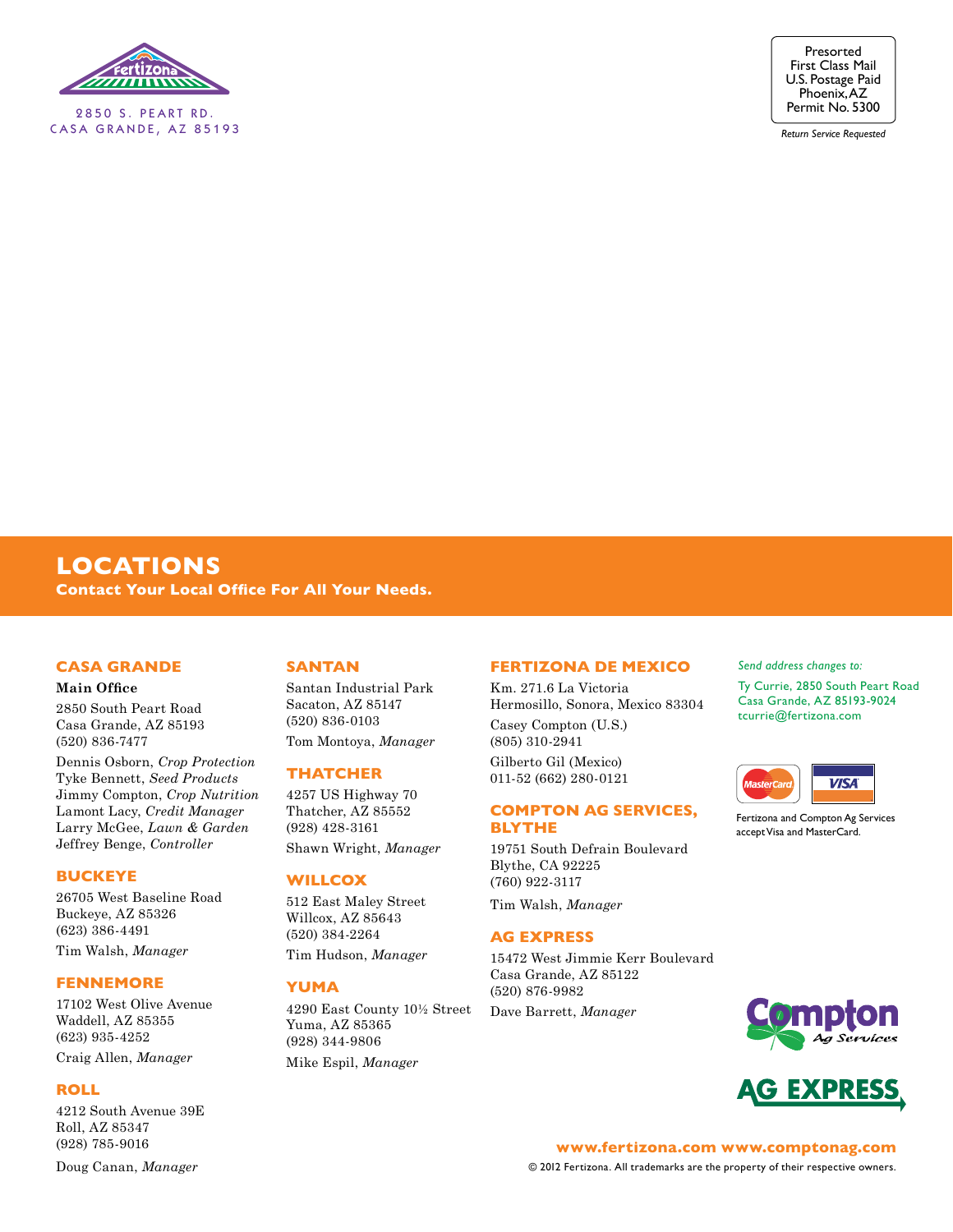

2850 S. PEART RD. CASA GRANDE, AZ 85193



*Return Service Requested*

### **LOCATIONS Contact Your Local Office For All Your Needs.**

#### **Casa Grande**

#### **Main Office**

2850 South Peart Road Casa Grande, AZ 85193 (520) 836-7477

Dennis Osborn, *Crop Protection* Tyke Bennett, *Seed Products* Jimmy Compton, *Crop Nutrition* Lamont Lacy, *Credit Manager* Larry McGee, *Lawn & Garden* Jeffrey Benge, *Controller*

#### **Buckeye**

26705 West Baseline Road Buckeye, AZ 85326 (623) 386-4491

Tim Walsh, *Manager*

#### **Fennemore**

17102 West Olive Avenue Waddell, AZ 85355 (623) 935-4252

Craig Allen, *Manager*

#### **Roll**

4212 South Avenue 39E Roll, AZ 85347 (928) 785-9016 Doug Canan, *Manager*

#### **SanTan**

Santan Industrial Park Sacaton, AZ 85147 (520) 836-0103 Tom Montoya, *Manager*

#### **Thatcher**

4257 US Highway 70 Thatcher, AZ 85552 (928) 428-3161 Shawn Wright, *Manager*

#### **Willcox**

512 East Maley Street Willcox, AZ 85643 (520) 384-2264 Tim Hudson, *Manager*

### **Yuma**

4290 East County 10½ Street Yuma, AZ 85365 (928) 344-9806 Mike Espil, *Manager*

#### **Fertizona De Mexico**

Km. 271.6 La Victoria Hermosillo, Sonora, Mexico 83304 Casey Compton (U.S.) (805) 310-2941 Gilberto Gil (Mexico) 011-52 (662) 280-0121

#### **Compton Ag Services, Blythe**

19751 South Defrain Boulevard Blythe, CA 92225 (760) 922-3117

Tim Walsh, *Manager*

#### **Ag Express**

15472 West Jimmie Kerr Boulevard Casa Grande, AZ 85122 (520) 876-9982 Dave Barrett, *Manager*

#### *Send address changes to:*

Ty Currie, 2850 South Peart Road Casa Grande, AZ 85193-9024 tcurrie@fertizona.com



Fertizona and Compton Ag Services accept Visa and MasterCard.



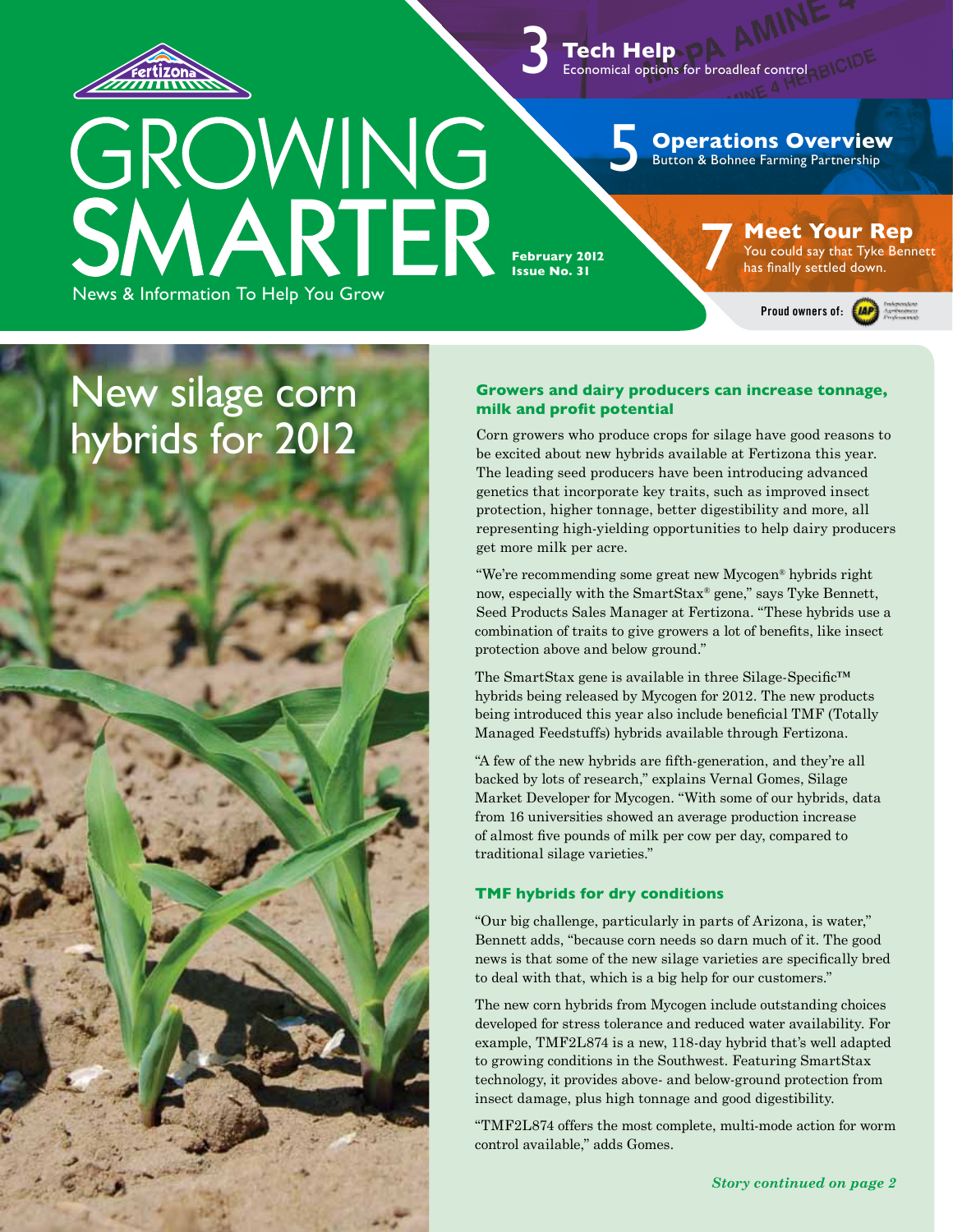

 **Tech Help** Economical options for broadleaf control 3

5

### **Operations Overview**

Button & Bohnee Farming Partnership

**February 2012 Issue No. 31** 

**milk and profit potential**

get more milk per acre.

**Meet Your Rep**<br>
You could say that Tyke Bennett<br>
has finally settled down.

Proud owners of: **(AP)** 

# New silage corn hybrids for 2012

News & Information To Help You Grow

now, especially with the SmartStax® gene," says Tyke Bennett, Seed Products Sales Manager at Fertizona. "These hybrids use a combination of traits to give growers a lot of benefits, like insect protection above and below ground." The SmartStax gene is available in three Silage-Specific™

"We're recommending some great new Mycogen® hybrids right

**Growers and dairy producers can increase tonnage,** 

Corn growers who produce crops for silage have good reasons to be excited about new hybrids available at Fertizona this year. The leading seed producers have been introducing advanced genetics that incorporate key traits, such as improved insect protection, higher tonnage, better digestibility and more, all representing high-yielding opportunities to help dairy producers

hybrids being released by Mycogen for 2012. The new products being introduced this year also include beneficial TMF (Totally Managed Feedstuffs) hybrids available through Fertizona.

"A few of the new hybrids are fifth-generation, and they're all backed by lots of research," explains Vernal Gomes, Silage Market Developer for Mycogen. "With some of our hybrids, data from 16 universities showed an average production increase of almost five pounds of milk per cow per day, compared to traditional silage varieties."

#### **TMF hybrids for dry conditions**

"Our big challenge, particularly in parts of Arizona, is water," Bennett adds, "because corn needs so darn much of it. The good news is that some of the new silage varieties are specifically bred to deal with that, which is a big help for our customers."

The new corn hybrids from Mycogen include outstanding choices developed for stress tolerance and reduced water availability. For example, TMF2L874 is a new, 118-day hybrid that's well adapted to growing conditions in the Southwest. Featuring SmartStax technology, it provides above- and below-ground protection from insect damage, plus high tonnage and good digestibility.

"TMF2L874 offers the most complete, multi-mode action for worm control available," adds Gomes.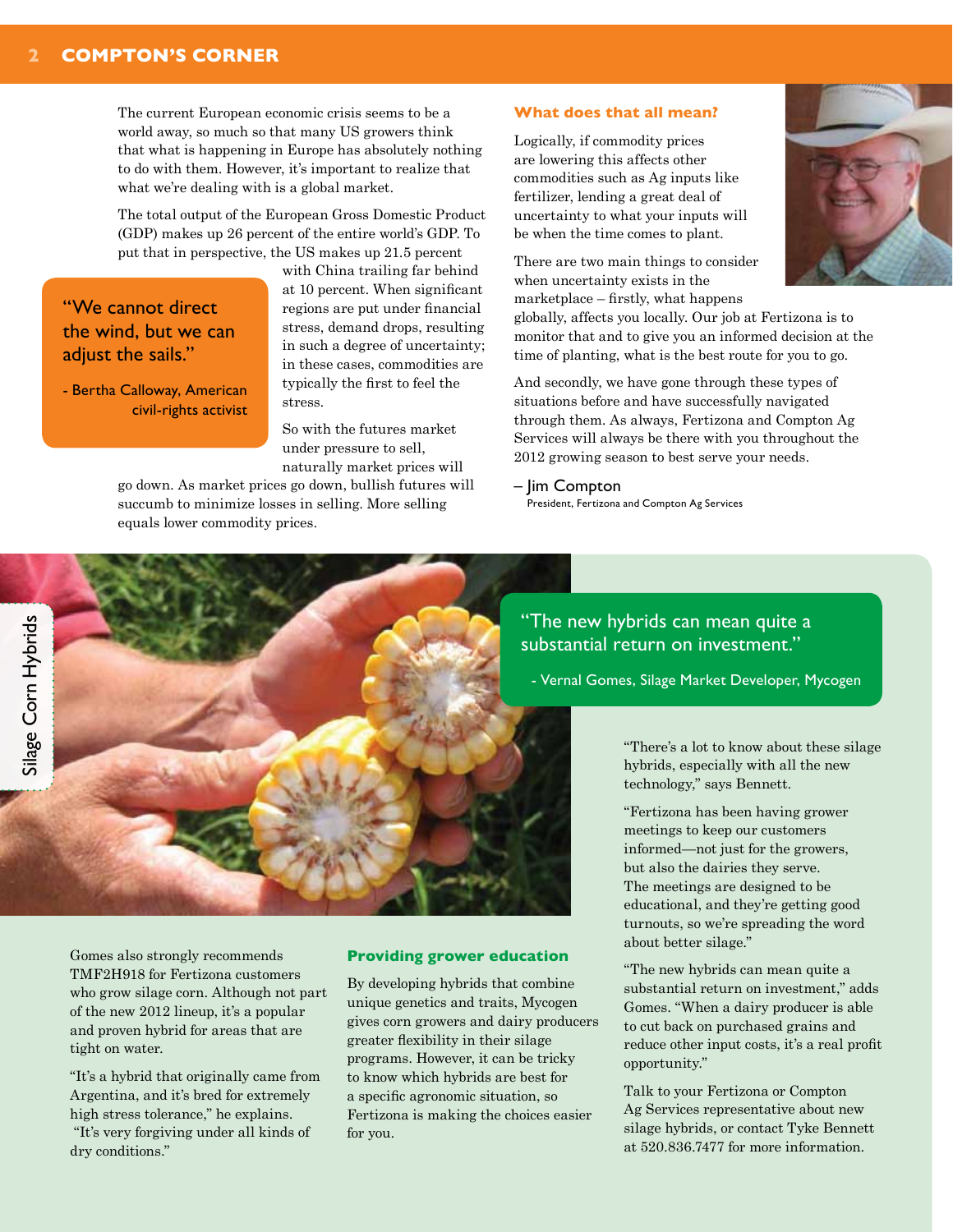The current European economic crisis seems to be a world away, so much so that many US growers think that what is happening in Europe has absolutely nothing to do with them. However, it's important to realize that what we're dealing with is a global market.

The total output of the European Gross Domestic Product (GDP) makes up 26 percent of the entire world's GDP. To put that in perspective, the US makes up 21.5 percent

### "We cannot direct the wind, but we can adjust the sails."

- Bertha Calloway, American civil-rights activist

with China trailing far behind at 10 percent. When significant regions are put under financial stress, demand drops, resulting in such a degree of uncertainty; in these cases, commodities are typically the first to feel the stress.

So with the futures market under pressure to sell, naturally market prices will

go down. As market prices go down, bullish futures will succumb to minimize losses in selling. More selling equals lower commodity prices.

#### **What does that all mean?**

Logically, if commodity prices are lowering this affects other commodities such as Ag inputs like fertilizer, lending a great deal of uncertainty to what your inputs will be when the time comes to plant.

There are two main things to consider when uncertainty exists in the marketplace – firstly, what happens

globally, affects you locally. Our job at Fertizona is to monitor that and to give you an informed decision at the time of planting, what is the best route for you to go.

And secondly, we have gone through these types of situations before and have successfully navigated through them. As always, Fertizona and Compton Ag Services will always be there with you throughout the 2012 growing season to best serve your needs.

#### – Jim Compton

President, Fertizona and Compton Ag Services

"The new hybrids can mean quite a substantial return on investment."

- Vernal Gomes, Silage Market Developer, Mycogen

"There's a lot to know about these silage hybrids, especially with all the new technology," says Bennett.

"Fertizona has been having grower meetings to keep our customers informed—not just for the growers, but also the dairies they serve. The meetings are designed to be educational, and they're getting good turnouts, so we're spreading the word about better silage."

"The new hybrids can mean quite a substantial return on investment," adds Gomes. "When a dairy producer is able to cut back on purchased grains and reduce other input costs, it's a real profit opportunity."

Talk to your Fertizona or Compton Ag Services representative about new silage hybrids, or contact Tyke Bennett at 520.836.7477 for more information.

Gomes also strongly recommends TMF2H918 for Fertizona customers who grow silage corn. Although not part of the new 2012 lineup, it's a popular and proven hybrid for areas that are tight on water.

"It's a hybrid that originally came from Argentina, and it's bred for extremely high stress tolerance," he explains. "It's very forgiving under all kinds of dry conditions."

#### **Providing grower education**

By developing hybrids that combine unique genetics and traits, Mycogen gives corn growers and dairy producers greater flexibility in their silage programs. However, it can be tricky to know which hybrids are best for a specific agronomic situation, so Fertizona is making the choices easier for you.



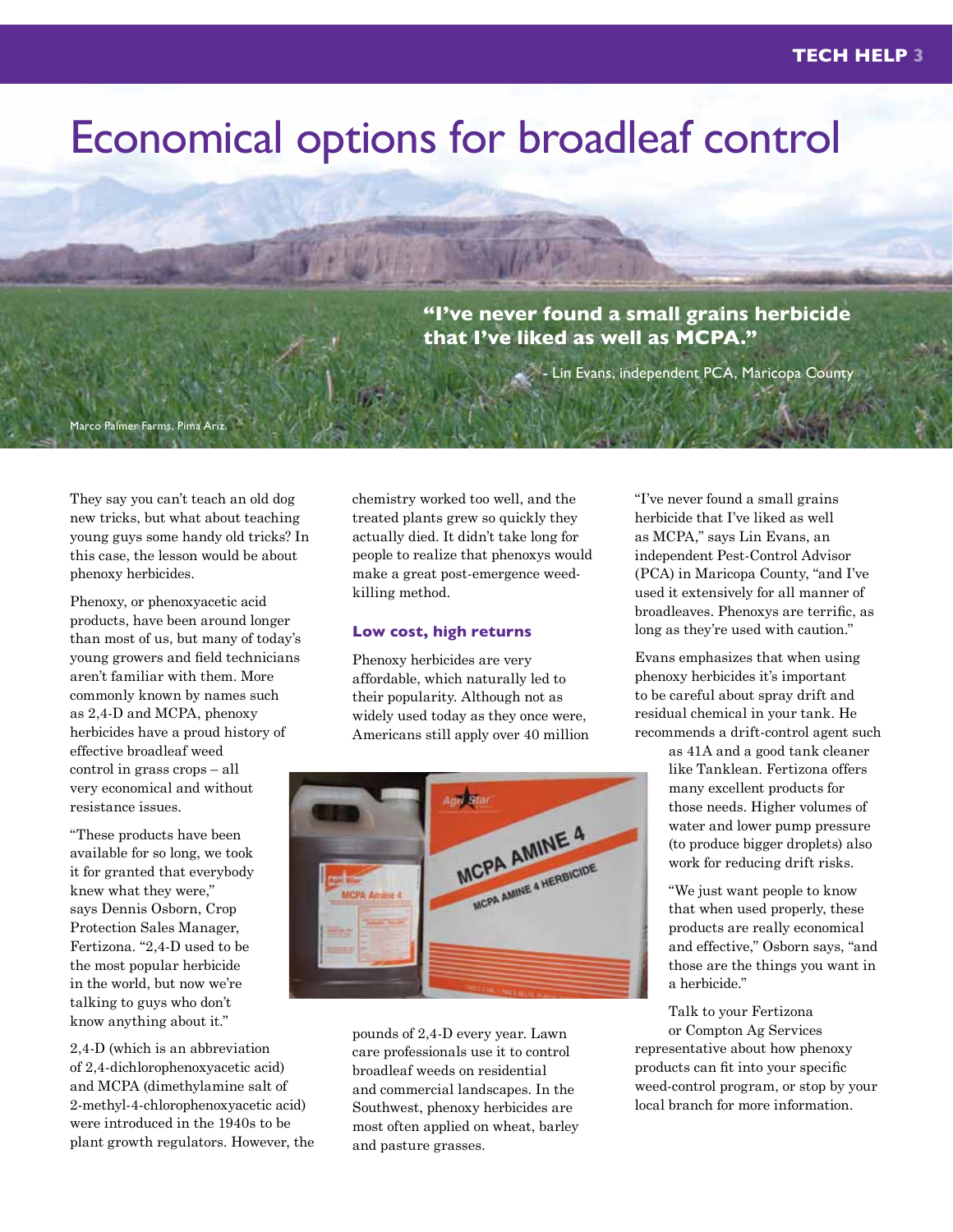# Economical options for broadleaf control

**"I've never found a small grains herbicide that I've liked as well as MCPA."** 

Lin Evans, independent PCA, Maricopa County

They say you can't teach an old dog new tricks, but what about teaching young guys some handy old tricks? In this case, the lesson would be about phenoxy herbicides.

Marco Palmer Farms, Pima Ariz.

Phenoxy, or phenoxyacetic acid products, have been around longer than most of us, but many of today's young growers and field technicians aren't familiar with them. More commonly known by names such as 2,4-D and MCPA, phenoxy herbicides have a proud history of effective broadleaf weed control in grass crops – all very economical and without resistance issues.

"These products have been available for so long, we took it for granted that everybody knew what they were," says Dennis Osborn, Crop Protection Sales Manager, Fertizona. "2,4-D used to be the most popular herbicide in the world, but now we're talking to guys who don't know anything about it."

2,4-D (which is an abbreviation of 2,4-dichlorophenoxyacetic acid) and MCPA (dimethylamine salt of 2-methyl-4-chlorophenoxyacetic acid) were introduced in the 1940s to be plant growth regulators. However, the chemistry worked too well, and the treated plants grew so quickly they actually died. It didn't take long for people to realize that phenoxys would make a great post-emergence weedkilling method.

#### **Low cost, high returns**

Phenoxy herbicides are very affordable, which naturally led to their popularity. Although not as widely used today as they once were, Americans still apply over 40 million



pounds of 2,4-D every year. Lawn care professionals use it to control broadleaf weeds on residential and commercial landscapes. In the Southwest, phenoxy herbicides are most often applied on wheat, barley and pasture grasses.

"I've never found a small grains herbicide that I've liked as well as MCPA," says Lin Evans, an independent Pest-Control Advisor (PCA) in Maricopa County, "and I've used it extensively for all manner of broadleaves. Phenoxys are terrific, as long as they're used with caution."

Evans emphasizes that when using phenoxy herbicides it's important to be careful about spray drift and residual chemical in your tank. He recommends a drift-control agent such

> as 41A and a good tank cleaner like Tanklean. Fertizona offers many excellent products for those needs. Higher volumes of water and lower pump pressure (to produce bigger droplets) also work for reducing drift risks.

"We just want people to know that when used properly, these products are really economical and effective," Osborn says, "and those are the things you want in a herbicide."

Talk to your Fertizona or Compton Ag Services representative about how phenoxy products can fit into your specific weed-control program, or stop by your local branch for more information.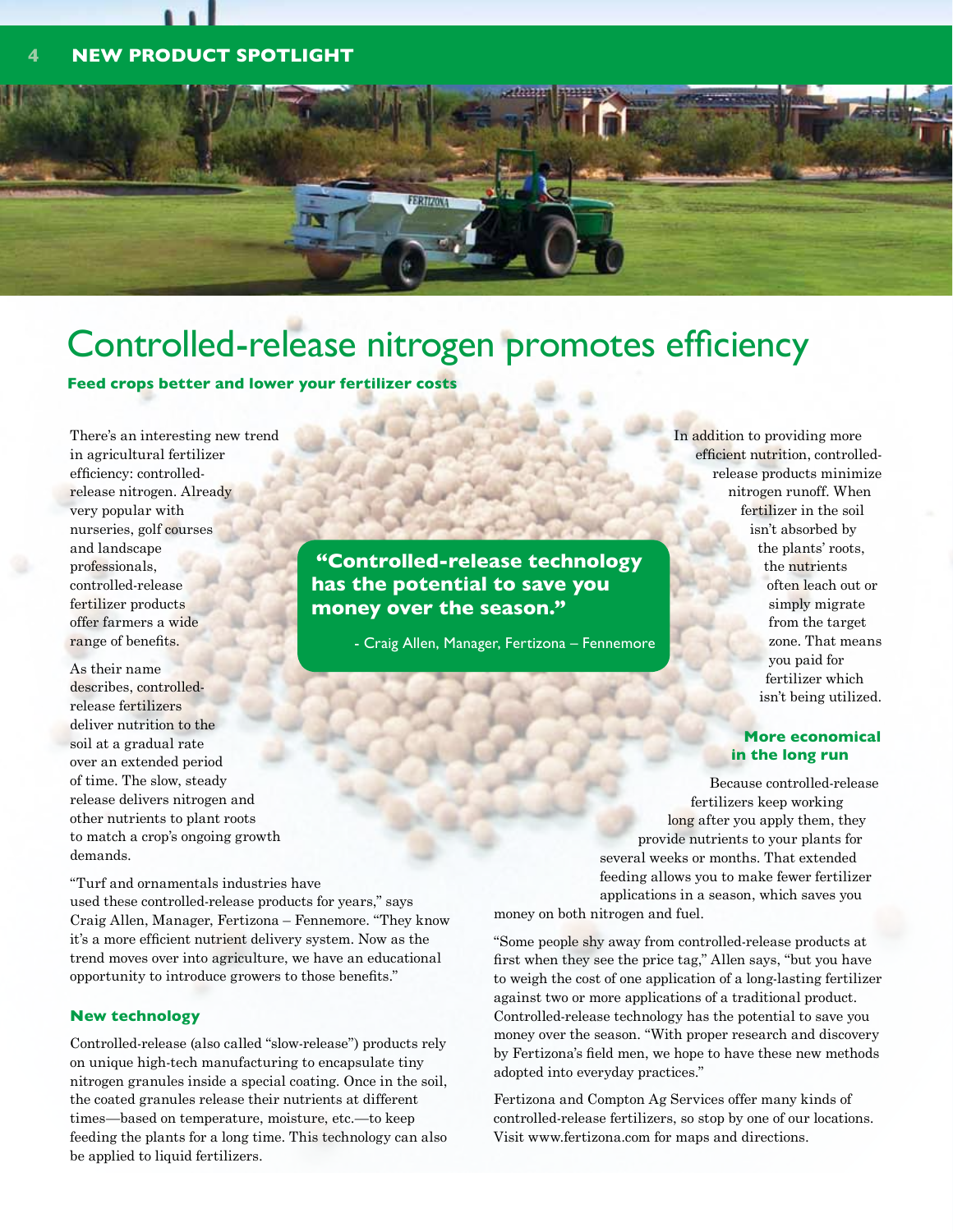### **4 NEW prOduct spotlight**



# Controlled-release nitrogen promotes efficiency

**Feed crops better and lower your fertilizer costs**

There's an interesting new trend in agricultural fertilizer efficiency: controlledrelease nitrogen. Already very popular with nurseries, golf courses and landscape professionals, controlled-release fertilizer products offer farmers a wide range of benefits.

As their name describes, controlledrelease fertilizers deliver nutrition to the soil at a gradual rate over an extended period of time. The slow, steady release delivers nitrogen and other nutrients to plant roots to match a crop's ongoing growth demands.

**"Controlled-release technology has the potential to save you money over the season."** 

- Craig Allen, Manager, Fertizona – Fennemore

In addition to providing more efficient nutrition, controlledrelease products minimize nitrogen runoff. When fertilizer in the soil isn't absorbed by the plants' roots, the nutrients often leach out or simply migrate from the target zone. That means you paid for fertilizer which isn't being utilized.

#### **More economical in the long run**

Because controlled-release fertilizers keep working long after you apply them, they provide nutrients to your plants for several weeks or months. That extended feeding allows you to make fewer fertilizer applications in a season, which saves you money on both nitrogen and fuel.

"Turf and ornamentals industries have used these controlled-release products for years," says Craig Allen, Manager, Fertizona – Fennemore. "They know it's a more efficient nutrient delivery system. Now as the trend moves over into agriculture, we have an educational opportunity to introduce growers to those benefits."

#### **New technology**

Controlled-release (also called "slow-release") products rely on unique high-tech manufacturing to encapsulate tiny nitrogen granules inside a special coating. Once in the soil, the coated granules release their nutrients at different times—based on temperature, moisture, etc.—to keep feeding the plants for a long time. This technology can also be applied to liquid fertilizers.

"Some people shy away from controlled-release products at first when they see the price tag," Allen says, "but you have to weigh the cost of one application of a long-lasting fertilizer against two or more applications of a traditional product. Controlled-release technology has the potential to save you money over the season. "With proper research and discovery by Fertizona's field men, we hope to have these new methods adopted into everyday practices."

Fertizona and Compton Ag Services offer many kinds of controlled-release fertilizers, so stop by one of our locations. Visit www.fertizona.com for maps and directions.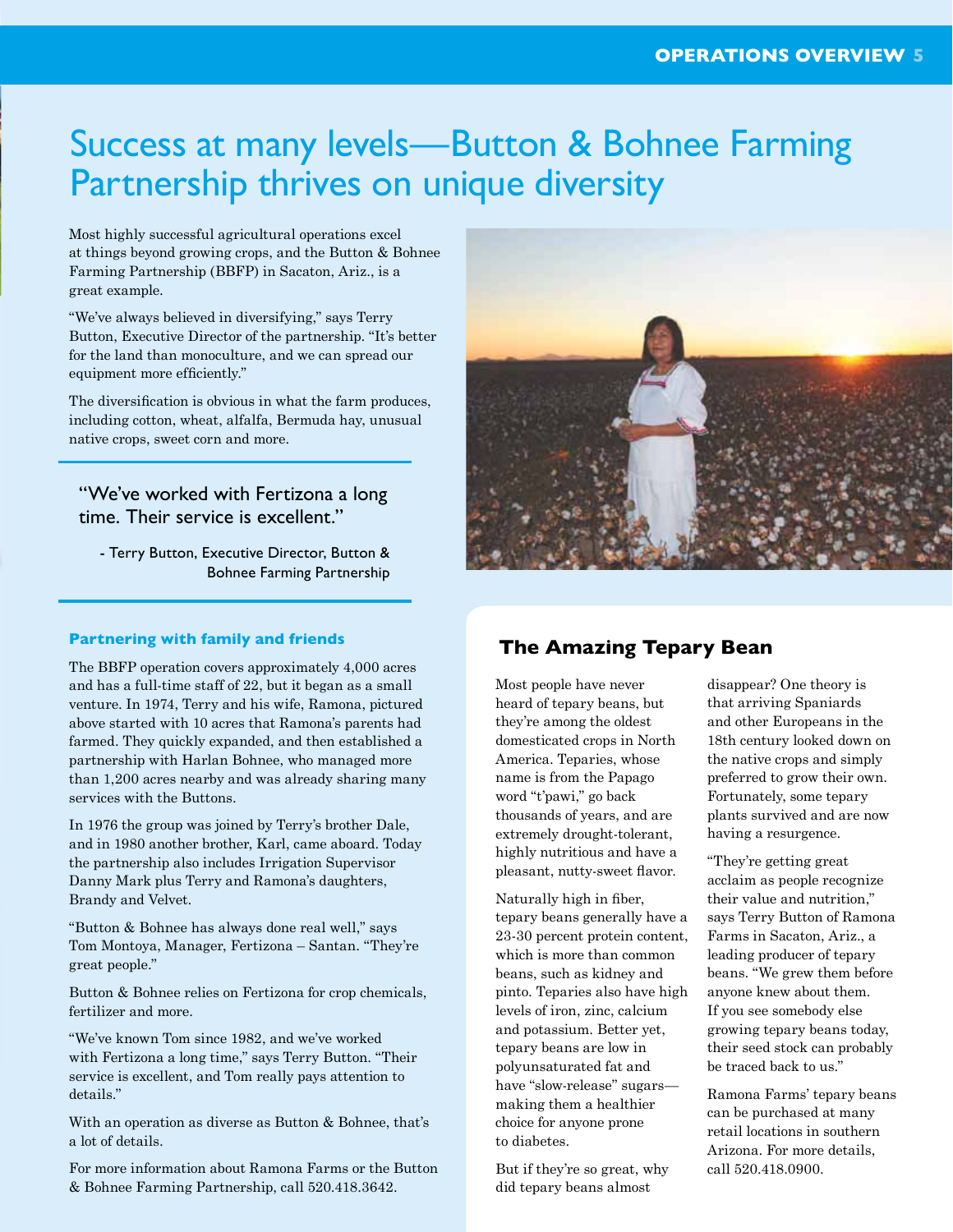# Success at many levels—Button & Bohnee Farming Partnership thrives on unique diversity

Most highly successful agricultural operations excel at things beyond growing crops, and the Button & Bohnee Farming Partnership (BBFP) in Sacaton, Ariz., is a great example.

"We've always believed in diversifying," says Terry Button, Executive Director of the partnership. "It's better for the land than monoculture, and we can spread our equipment more efficiently."

The diversification is obvious in what the farm produces, including cotton, wheat, alfalfa, Bermuda hay, unusual native crops, sweet corn and more.

"We've worked with Fertizona a long time. Their service is excellent."

- Terry Button, Executive Director, Button & Bohnee Farming Partnership

#### **Partnering with family and friends**

The BBFP operation covers approximately 4,000 acres and has a full-time staff of 22, but it began as a small venture. In 1974, Terry and his wife, Ramona, pictured above started with 10 acres that Ramona's parents had farmed. They quickly expanded, and then established a partnership with Harlan Bohnee, who managed more than 1,200 acres nearby and was already sharing many services with the Buttons.

In 1976 the group was joined by Terry's brother Dale, and in 1980 another brother, Karl, came aboard. Today the partnership also includes Irrigation Supervisor Danny Mark plus Terry and Ramona's daughters, Brandy and Velvet.

"Button & Bohnee has always done real well," says Tom Montoya, Manager, Fertizona – Santan. "They're great people."

Button & Bohnee relies on Fertizona for crop chemicals, fertilizer and more.

"We've known Tom since 1982, and we've worked with Fertizona a long time," says Terry Button. "Their service is excellent, and Tom really pays attention to details."

With an operation as diverse as Button & Bohnee, that's a lot of details.

For more information about Ramona Farms or the Button & Bohnee Farming Partnership, call 520.418.3642.



### **The Amazing Tepary Bean**

Most people have never heard of tepary beans, but they're among the oldest domesticated crops in North America. Teparies, whose name is from the Papago word "t'pawi," go back thousands of years, and are extremely drought-tolerant, highly nutritious and have a pleasant, nutty-sweet flavor.

Naturally high in fiber, tepary beans generally have a 23-30 percent protein content, which is more than common beans, such as kidney and pinto. Teparies also have high levels of iron, zinc, calcium and potassium. Better yet, tepary beans are low in polyunsaturated fat and have "slow-release" sugars making them a healthier choice for anyone prone to diabetes.

But if they're so great, why did tepary beans almost

disappear? One theory is that arriving Spaniards and other Europeans in the 18th century looked down on the native crops and simply preferred to grow their own. Fortunately, some tepary plants survived and are now having a resurgence.

"They're getting great acclaim as people recognize their value and nutrition," says Terry Button of Ramona Farms in Sacaton, Ariz., a leading producer of tepary beans. "We grew them before anyone knew about them. If you see somebody else growing tepary beans today, their seed stock can probably be traced back to us."

Ramona Farms' tepary beans can be purchased at many retail locations in southern Arizona. For more details, call 520.418.0900.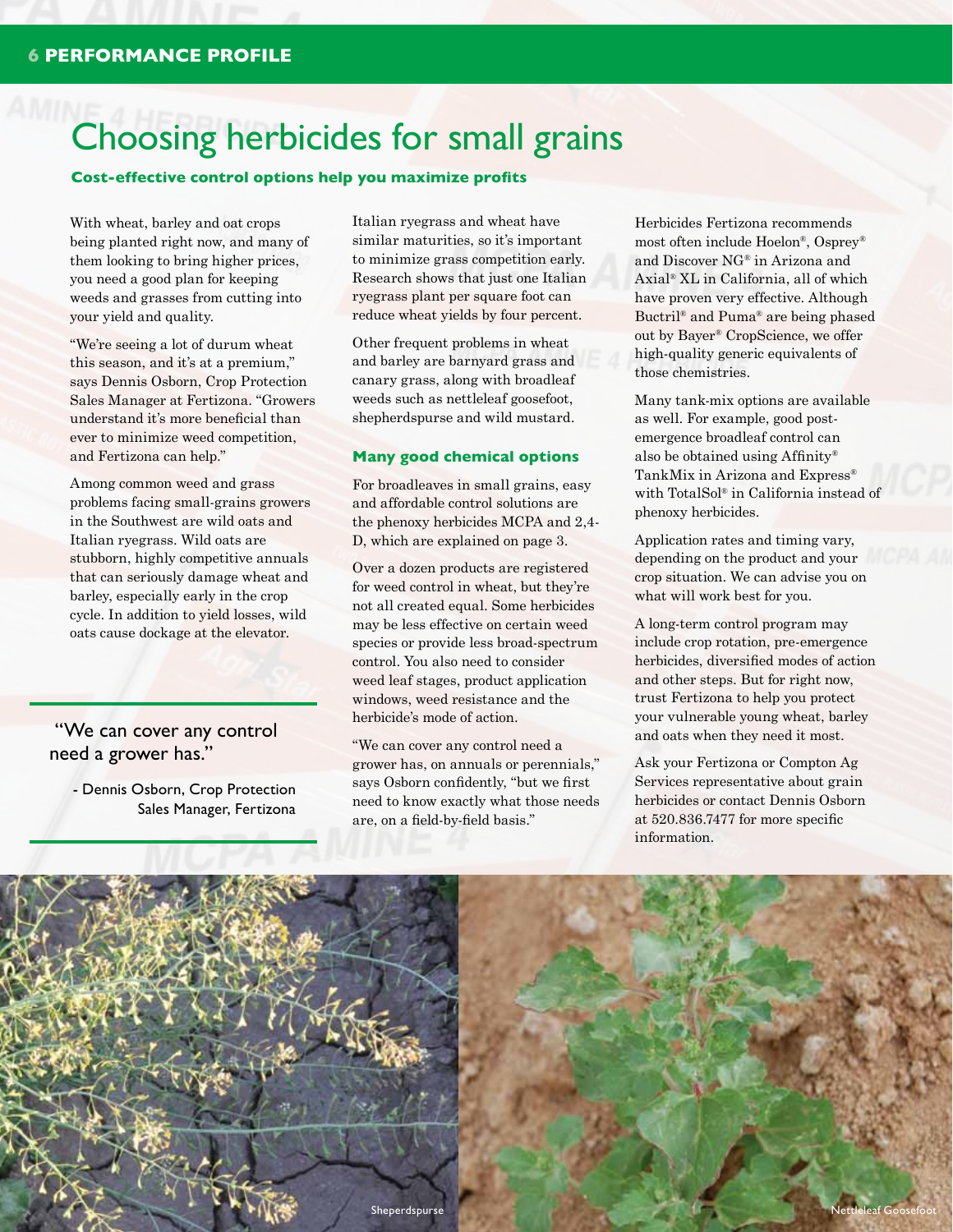# Choosing herbicides for small grains

**Cost-effective control options help you maximize profits**

With wheat, barley and oat crops being planted right now, and many of them looking to bring higher prices, you need a good plan for keeping weeds and grasses from cutting into your yield and quality.

"We're seeing a lot of durum wheat this season, and it's at a premium," says Dennis Osborn, Crop Protection Sales Manager at Fertizona. "Growers understand it's more beneficial than ever to minimize weed competition, and Fertizona can help."

Among common weed and grass problems facing small-grains growers in the Southwest are wild oats and Italian ryegrass. Wild oats are stubborn, highly competitive annuals that can seriously damage wheat and barley, especially early in the crop cycle. In addition to yield losses, wild oats cause dockage at the elevator.

 "We can cover any control need a grower has."

> - Dennis Osborn, Crop Protection Sales Manager, Fertizona

Italian ryegrass and wheat have similar maturities, so it's important to minimize grass competition early. Research shows that just one Italian ryegrass plant per square foot can reduce wheat yields by four percent.

Other frequent problems in wheat and barley are barnyard grass and canary grass, along with broadleaf weeds such as nettleleaf goosefoot, shepherdspurse and wild mustard.

#### **Many good chemical options**

For broadleaves in small grains, easy and affordable control solutions are the phenoxy herbicides MCPA and 2,4- D, which are explained on page 3.

Over a dozen products are registered for weed control in wheat, but they're not all created equal. Some herbicides may be less effective on certain weed species or provide less broad-spectrum control. You also need to consider weed leaf stages, product application windows, weed resistance and the herbicide's mode of action.

"We can cover any control need a grower has, on annuals or perennials," says Osborn confidently, "but we first need to know exactly what those needs are, on a field-by-field basis."

Herbicides Fertizona recommends most often include Hoelon®, Osprey® and Discover NG® in Arizona and Axial® XL in California, all of which have proven very effective. Although Buctril® and Puma® are being phased out by Bayer® CropScience, we offer high-quality generic equivalents of those chemistries.

Many tank-mix options are available as well. For example, good postemergence broadleaf control can also be obtained using Affinity® TankMix in Arizona and Express® with TotalSol® in California instead of phenoxy herbicides.

Application rates and timing vary, depending on the product and your crop situation. We can advise you on what will work best for you.

A long-term control program may include crop rotation, pre-emergence herbicides, diversified modes of action and other steps. But for right now, trust Fertizona to help you protect your vulnerable young wheat, barley and oats when they need it most.

Ask your Fertizona or Compton Ag Services representative about grain herbicides or contact Dennis Osborn at 520.836.7477 for more specific information.